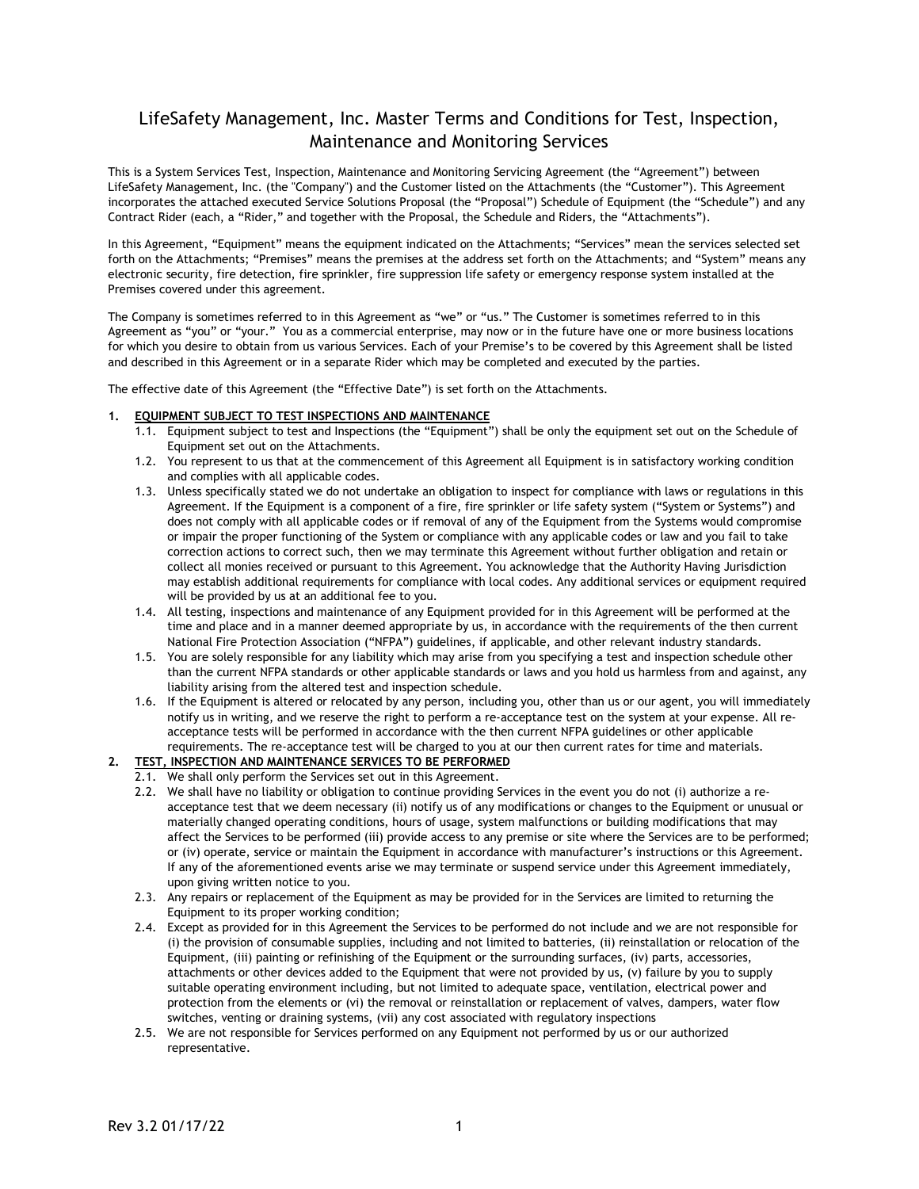## LifeSafety Management, Inc. Master Terms and Conditions for Test, Inspection, Maintenance and Monitoring Services

This is a System Services Test, Inspection, Maintenance and Monitoring Servicing Agreement (the "Agreement") between LifeSafety Management, Inc. (the "Company") and the Customer listed on the Attachments (the "Customer"). This Agreement incorporates the attached executed Service Solutions Proposal (the "Proposal") Schedule of Equipment (the "Schedule") and any Contract Rider (each, a "Rider," and together with the Proposal, the Schedule and Riders, the "Attachments").

In this Agreement, "Equipment" means the equipment indicated on the Attachments; "Services" mean the services selected set forth on the Attachments; "Premises" means the premises at the address set forth on the Attachments; and "System" means any electronic security, fire detection, fire sprinkler, fire suppression life safety or emergency response system installed at the Premises covered under this agreement.

The Company is sometimes referred to in this Agreement as "we" or "us." The Customer is sometimes referred to in this Agreement as "you" or "your." You as a commercial enterprise, may now or in the future have one or more business locations for which you desire to obtain from us various Services. Each of your Premise's to be covered by this Agreement shall be listed and described in this Agreement or in a separate Rider which may be completed and executed by the parties.

The effective date of this Agreement (the "Effective Date") is set forth on the Attachments.

## **1. EQUIPMENT SUBJECT TO TEST INSPECTIONS AND MAINTENANCE**

- 1.1. Equipment subject to test and Inspections (the "Equipment") shall be only the equipment set out on the Schedule of Equipment set out on the Attachments.
- 1.2. You represent to us that at the commencement of this Agreement all Equipment is in satisfactory working condition and complies with all applicable codes.
- 1.3. Unless specifically stated we do not undertake an obligation to inspect for compliance with laws or regulations in this Agreement. If the Equipment is a component of a fire, fire sprinkler or life safety system ("System or Systems") and does not comply with all applicable codes or if removal of any of the Equipment from the Systems would compromise or impair the proper functioning of the System or compliance with any applicable codes or law and you fail to take correction actions to correct such, then we may terminate this Agreement without further obligation and retain or collect all monies received or pursuant to this Agreement. You acknowledge that the Authority Having Jurisdiction may establish additional requirements for compliance with local codes. Any additional services or equipment required will be provided by us at an additional fee to you.
- 1.4. All testing, inspections and maintenance of any Equipment provided for in this Agreement will be performed at the time and place and in a manner deemed appropriate by us, in accordance with the requirements of the then current National Fire Protection Association ("NFPA") guidelines, if applicable, and other relevant industry standards.
- 1.5. You are solely responsible for any liability which may arise from you specifying a test and inspection schedule other than the current NFPA standards or other applicable standards or laws and you hold us harmless from and against, any liability arising from the altered test and inspection schedule.
- 1.6. If the Equipment is altered or relocated by any person, including you, other than us or our agent, you will immediately notify us in writing, and we reserve the right to perform a re-acceptance test on the system at your expense. All reacceptance tests will be performed in accordance with the then current NFPA guidelines or other applicable requirements. The re-acceptance test will be charged to you at our then current rates for time and materials.
- **2. TEST, INSPECTION AND MAINTENANCE SERVICES TO BE PERFORMED**
	- 2.1. We shall only perform the Services set out in this Agreement.
		- 2.2. We shall have no liability or obligation to continue providing Services in the event you do not (i) authorize a reacceptance test that we deem necessary (ii) notify us of any modifications or changes to the Equipment or unusual or materially changed operating conditions, hours of usage, system malfunctions or building modifications that may affect the Services to be performed (iii) provide access to any premise or site where the Services are to be performed; or (iv) operate, service or maintain the Equipment in accordance with manufacturer's instructions or this Agreement. If any of the aforementioned events arise we may terminate or suspend service under this Agreement immediately, upon giving written notice to you.
		- 2.3. Any repairs or replacement of the Equipment as may be provided for in the Services are limited to returning the Equipment to its proper working condition;
		- 2.4. Except as provided for in this Agreement the Services to be performed do not include and we are not responsible for (i) the provision of consumable supplies, including and not limited to batteries, (ii) reinstallation or relocation of the Equipment, (iii) painting or refinishing of the Equipment or the surrounding surfaces, (iv) parts, accessories, attachments or other devices added to the Equipment that were not provided by us, (v) failure by you to supply suitable operating environment including, but not limited to adequate space, ventilation, electrical power and protection from the elements or (vi) the removal or reinstallation or replacement of valves, dampers, water flow switches, venting or draining systems, (vii) any cost associated with regulatory inspections
		- 2.5. We are not responsible for Services performed on any Equipment not performed by us or our authorized representative.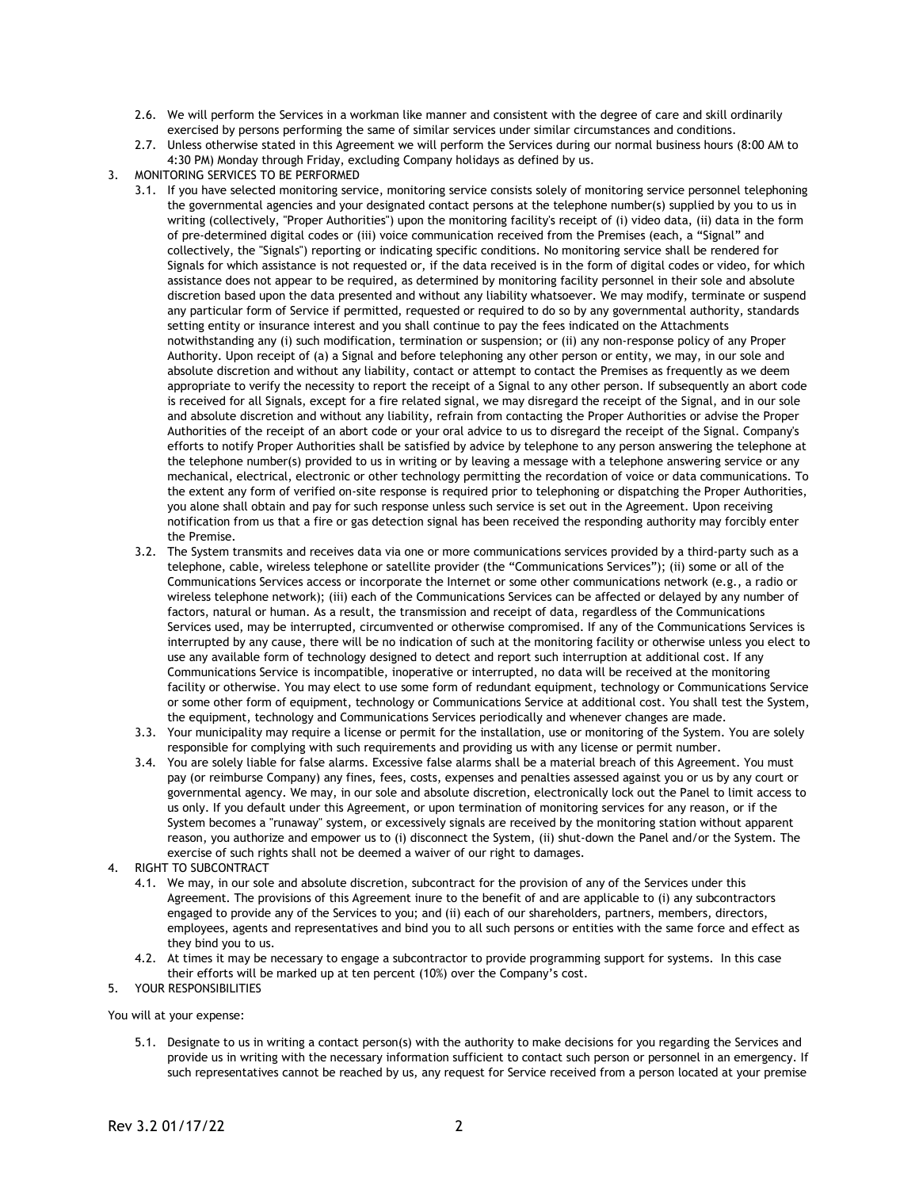- 2.6. We will perform the Services in a workman like manner and consistent with the degree of care and skill ordinarily exercised by persons performing the same of similar services under similar circumstances and conditions.
- 2.7. Unless otherwise stated in this Agreement we will perform the Services during our normal business hours (8:00 AM to 4:30 PM) Monday through Friday, excluding Company holidays as defined by us.
- 3. MONITORING SERVICES TO BE PERFORMED
	- 3.1. If you have selected monitoring service, monitoring service consists solely of monitoring service personnel telephoning the governmental agencies and your designated contact persons at the telephone number(s) supplied by you to us in writing (collectively, "Proper Authorities") upon the monitoring facility's receipt of (i) video data, (ii) data in the form of pre-determined digital codes or (iii) voice communication received from the Premises (each, a "Signal" and collectively, the "Signals") reporting or indicating specific conditions. No monitoring service shall be rendered for Signals for which assistance is not requested or, if the data received is in the form of digital codes or video, for which assistance does not appear to be required, as determined by monitoring facility personnel in their sole and absolute discretion based upon the data presented and without any liability whatsoever. We may modify, terminate or suspend any particular form of Service if permitted, requested or required to do so by any governmental authority, standards setting entity or insurance interest and you shall continue to pay the fees indicated on the Attachments notwithstanding any (i) such modification, termination or suspension; or (ii) any non-response policy of any Proper Authority. Upon receipt of (a) a Signal and before telephoning any other person or entity, we may, in our sole and absolute discretion and without any liability, contact or attempt to contact the Premises as frequently as we deem appropriate to verify the necessity to report the receipt of a Signal to any other person. If subsequently an abort code is received for all Signals, except for a fire related signal, we may disregard the receipt of the Signal, and in our sole and absolute discretion and without any liability, refrain from contacting the Proper Authorities or advise the Proper Authorities of the receipt of an abort code or your oral advice to us to disregard the receipt of the Signal. Company's efforts to notify Proper Authorities shall be satisfied by advice by telephone to any person answering the telephone at the telephone number(s) provided to us in writing or by leaving a message with a telephone answering service or any mechanical, electrical, electronic or other technology permitting the recordation of voice or data communications. To the extent any form of verified on-site response is required prior to telephoning or dispatching the Proper Authorities, you alone shall obtain and pay for such response unless such service is set out in the Agreement. Upon receiving notification from us that a fire or gas detection signal has been received the responding authority may forcibly enter the Premise.
	- 3.2. The System transmits and receives data via one or more communications services provided by a third-party such as a telephone, cable, wireless telephone or satellite provider (the "Communications Services"); (ii) some or all of the Communications Services access or incorporate the Internet or some other communications network (e.g., a radio or wireless telephone network); (iii) each of the Communications Services can be affected or delayed by any number of factors, natural or human. As a result, the transmission and receipt of data, regardless of the Communications Services used, may be interrupted, circumvented or otherwise compromised. If any of the Communications Services is interrupted by any cause, there will be no indication of such at the monitoring facility or otherwise unless you elect to use any available form of technology designed to detect and report such interruption at additional cost. If any Communications Service is incompatible, inoperative or interrupted, no data will be received at the monitoring facility or otherwise. You may elect to use some form of redundant equipment, technology or Communications Service or some other form of equipment, technology or Communications Service at additional cost. You shall test the System, the equipment, technology and Communications Services periodically and whenever changes are made.
	- 3.3. Your municipality may require a license or permit for the installation, use or monitoring of the System. You are solely responsible for complying with such requirements and providing us with any license or permit number.
	- 3.4. You are solely liable for false alarms. Excessive false alarms shall be a material breach of this Agreement. You must pay (or reimburse Company) any fines, fees, costs, expenses and penalties assessed against you or us by any court or governmental agency. We may, in our sole and absolute discretion, electronically lock out the Panel to limit access to us only. If you default under this Agreement, or upon termination of monitoring services for any reason, or if the System becomes a "runaway" system, or excessively signals are received by the monitoring station without apparent reason, you authorize and empower us to (i) disconnect the System, (ii) shut-down the Panel and/or the System. The exercise of such rights shall not be deemed a waiver of our right to damages.
- 4. RIGHT TO SUBCONTRACT
	- 4.1. We may, in our sole and absolute discretion, subcontract for the provision of any of the Services under this Agreement. The provisions of this Agreement inure to the benefit of and are applicable to (i) any subcontractors engaged to provide any of the Services to you; and (ii) each of our shareholders, partners, members, directors, employees, agents and representatives and bind you to all such persons or entities with the same force and effect as they bind you to us.
	- 4.2. At times it may be necessary to engage a subcontractor to provide programming support for systems. In this case their efforts will be marked up at ten percent (10%) over the Company's cost.
- 5. YOUR RESPONSIBILITIES

You will at your expense:

5.1. Designate to us in writing a contact person(s) with the authority to make decisions for you regarding the Services and provide us in writing with the necessary information sufficient to contact such person or personnel in an emergency. If such representatives cannot be reached by us, any request for Service received from a person located at your premise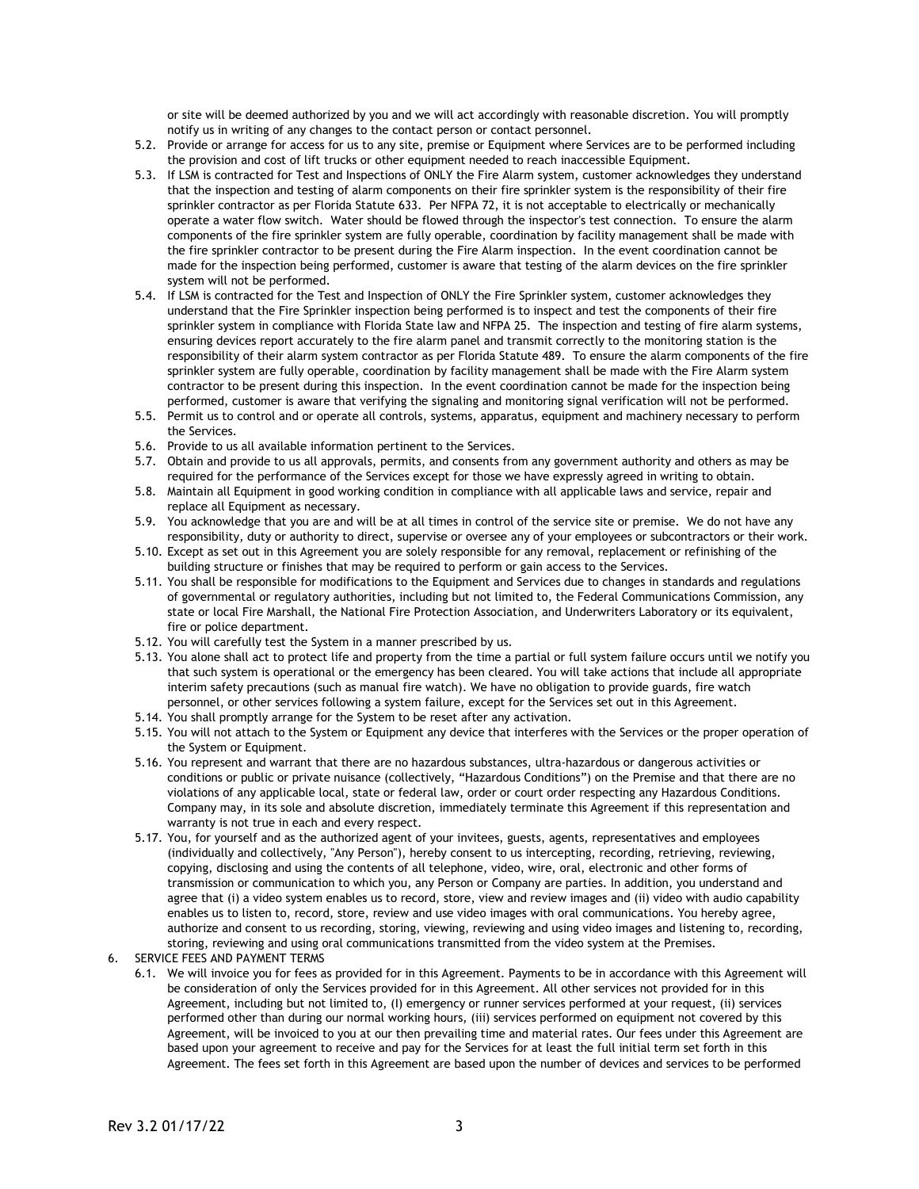or site will be deemed authorized by you and we will act accordingly with reasonable discretion. You will promptly notify us in writing of any changes to the contact person or contact personnel.

- 5.2. Provide or arrange for access for us to any site, premise or Equipment where Services are to be performed including the provision and cost of lift trucks or other equipment needed to reach inaccessible Equipment.
- 5.3. If LSM is contracted for Test and Inspections of ONLY the Fire Alarm system, customer acknowledges they understand that the inspection and testing of alarm components on their fire sprinkler system is the responsibility of their fire sprinkler contractor as per Florida Statute 633. Per NFPA 72, it is not acceptable to electrically or mechanically operate a water flow switch. Water should be flowed through the inspector's test connection. To ensure the alarm components of the fire sprinkler system are fully operable, coordination by facility management shall be made with the fire sprinkler contractor to be present during the Fire Alarm inspection. In the event coordination cannot be made for the inspection being performed, customer is aware that testing of the alarm devices on the fire sprinkler system will not be performed.
- 5.4. If LSM is contracted for the Test and Inspection of ONLY the Fire Sprinkler system, customer acknowledges they understand that the Fire Sprinkler inspection being performed is to inspect and test the components of their fire sprinkler system in compliance with Florida State law and NFPA 25. The inspection and testing of fire alarm systems, ensuring devices report accurately to the fire alarm panel and transmit correctly to the monitoring station is the responsibility of their alarm system contractor as per Florida Statute 489. To ensure the alarm components of the fire sprinkler system are fully operable, coordination by facility management shall be made with the Fire Alarm system contractor to be present during this inspection. In the event coordination cannot be made for the inspection being performed, customer is aware that verifying the signaling and monitoring signal verification will not be performed.
- 5.5. Permit us to control and or operate all controls, systems, apparatus, equipment and machinery necessary to perform the Services.
- 5.6. Provide to us all available information pertinent to the Services.
- 5.7. Obtain and provide to us all approvals, permits, and consents from any government authority and others as may be required for the performance of the Services except for those we have expressly agreed in writing to obtain.
- 5.8. Maintain all Equipment in good working condition in compliance with all applicable laws and service, repair and replace all Equipment as necessary.
- 5.9. You acknowledge that you are and will be at all times in control of the service site or premise. We do not have any responsibility, duty or authority to direct, supervise or oversee any of your employees or subcontractors or their work.
- 5.10. Except as set out in this Agreement you are solely responsible for any removal, replacement or refinishing of the building structure or finishes that may be required to perform or gain access to the Services.
- 5.11. You shall be responsible for modifications to the Equipment and Services due to changes in standards and regulations of governmental or regulatory authorities, including but not limited to, the Federal Communications Commission, any state or local Fire Marshall, the National Fire Protection Association, and Underwriters Laboratory or its equivalent, fire or police department.
- 5.12. You will carefully test the System in a manner prescribed by us.
- 5.13. You alone shall act to protect life and property from the time a partial or full system failure occurs until we notify you that such system is operational or the emergency has been cleared. You will take actions that include all appropriate interim safety precautions (such as manual fire watch). We have no obligation to provide guards, fire watch personnel, or other services following a system failure, except for the Services set out in this Agreement.
- 5.14. You shall promptly arrange for the System to be reset after any activation.
- 5.15. You will not attach to the System or Equipment any device that interferes with the Services or the proper operation of the System or Equipment.
- 5.16. You represent and warrant that there are no hazardous substances, ultra-hazardous or dangerous activities or conditions or public or private nuisance (collectively, "Hazardous Conditions") on the Premise and that there are no violations of any applicable local, state or federal law, order or court order respecting any Hazardous Conditions. Company may, in its sole and absolute discretion, immediately terminate this Agreement if this representation and warranty is not true in each and every respect.
- 5.17. You, for yourself and as the authorized agent of your invitees, guests, agents, representatives and employees (individually and collectively, "Any Person"), hereby consent to us intercepting, recording, retrieving, reviewing, copying, disclosing and using the contents of all telephone, video, wire, oral, electronic and other forms of transmission or communication to which you, any Person or Company are parties. In addition, you understand and agree that (i) a video system enables us to record, store, view and review images and (ii) video with audio capability enables us to listen to, record, store, review and use video images with oral communications. You hereby agree, authorize and consent to us recording, storing, viewing, reviewing and using video images and listening to, recording, storing, reviewing and using oral communications transmitted from the video system at the Premises.
- 6. SERVICE FEES AND PAYMENT TERMS
	- 6.1. We will invoice you for fees as provided for in this Agreement. Payments to be in accordance with this Agreement will be consideration of only the Services provided for in this Agreement. All other services not provided for in this Agreement, including but not limited to, (I) emergency or runner services performed at your request, (ii) services performed other than during our normal working hours, (iii) services performed on equipment not covered by this Agreement, will be invoiced to you at our then prevailing time and material rates. Our fees under this Agreement are based upon your agreement to receive and pay for the Services for at least the full initial term set forth in this Agreement. The fees set forth in this Agreement are based upon the number of devices and services to be performed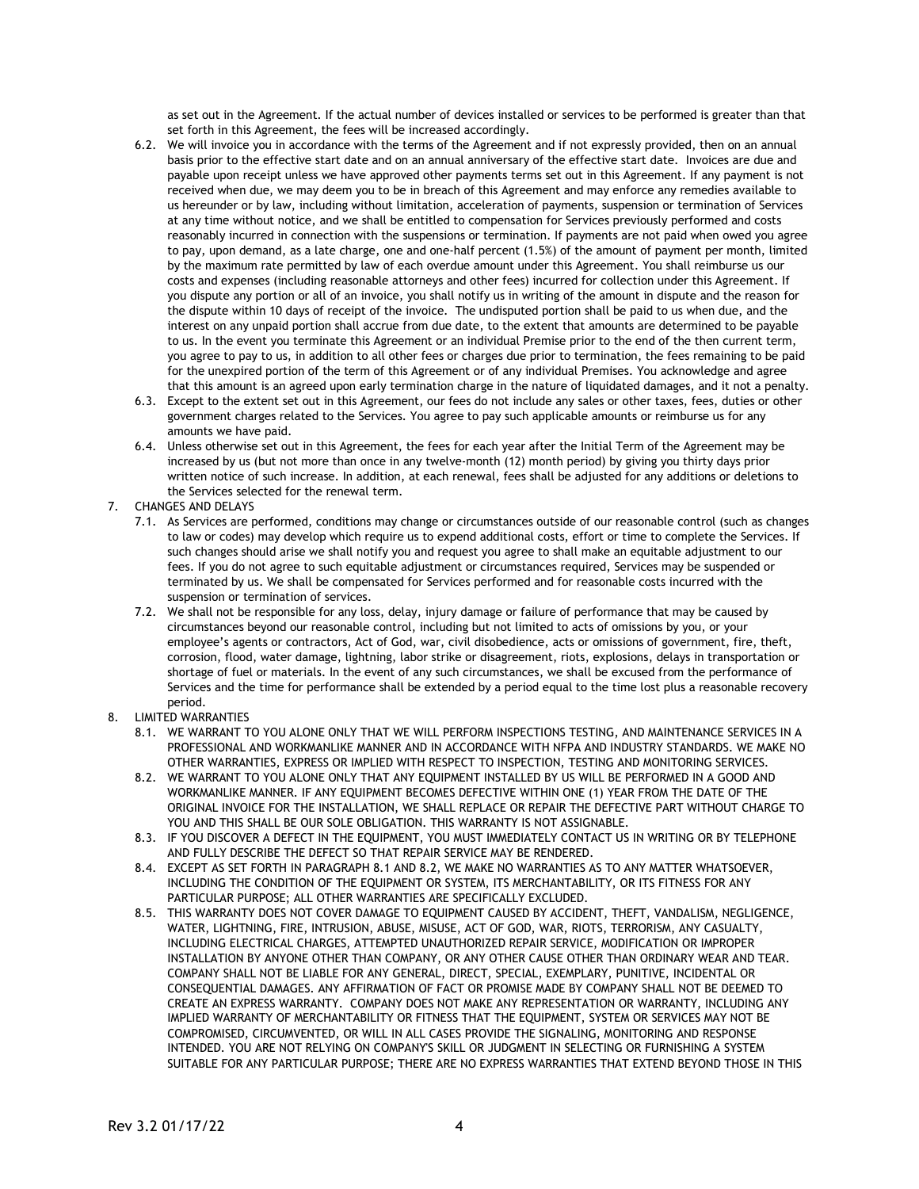as set out in the Agreement. If the actual number of devices installed or services to be performed is greater than that set forth in this Agreement, the fees will be increased accordingly.

- 6.2. We will invoice you in accordance with the terms of the Agreement and if not expressly provided, then on an annual basis prior to the effective start date and on an annual anniversary of the effective start date. Invoices are due and payable upon receipt unless we have approved other payments terms set out in this Agreement. If any payment is not received when due, we may deem you to be in breach of this Agreement and may enforce any remedies available to us hereunder or by law, including without limitation, acceleration of payments, suspension or termination of Services at any time without notice, and we shall be entitled to compensation for Services previously performed and costs reasonably incurred in connection with the suspensions or termination. If payments are not paid when owed you agree to pay, upon demand, as a late charge, one and one-half percent (1.5%) of the amount of payment per month, limited by the maximum rate permitted by law of each overdue amount under this Agreement. You shall reimburse us our costs and expenses (including reasonable attorneys and other fees) incurred for collection under this Agreement. If you dispute any portion or all of an invoice, you shall notify us in writing of the amount in dispute and the reason for the dispute within 10 days of receipt of the invoice. The undisputed portion shall be paid to us when due, and the interest on any unpaid portion shall accrue from due date, to the extent that amounts are determined to be payable to us. In the event you terminate this Agreement or an individual Premise prior to the end of the then current term, you agree to pay to us, in addition to all other fees or charges due prior to termination, the fees remaining to be paid for the unexpired portion of the term of this Agreement or of any individual Premises. You acknowledge and agree that this amount is an agreed upon early termination charge in the nature of liquidated damages, and it not a penalty.
- 6.3. Except to the extent set out in this Agreement, our fees do not include any sales or other taxes, fees, duties or other government charges related to the Services. You agree to pay such applicable amounts or reimburse us for any amounts we have paid.
- 6.4. Unless otherwise set out in this Agreement, the fees for each year after the Initial Term of the Agreement may be increased by us (but not more than once in any twelve-month (12) month period) by giving you thirty days prior written notice of such increase. In addition, at each renewal, fees shall be adjusted for any additions or deletions to the Services selected for the renewal term.
- 7. CHANGES AND DELAYS
	- 7.1. As Services are performed, conditions may change or circumstances outside of our reasonable control (such as changes to law or codes) may develop which require us to expend additional costs, effort or time to complete the Services. If such changes should arise we shall notify you and request you agree to shall make an equitable adjustment to our fees. If you do not agree to such equitable adjustment or circumstances required, Services may be suspended or terminated by us. We shall be compensated for Services performed and for reasonable costs incurred with the suspension or termination of services.
	- 7.2. We shall not be responsible for any loss, delay, injury damage or failure of performance that may be caused by circumstances beyond our reasonable control, including but not limited to acts of omissions by you, or your employee's agents or contractors, Act of God, war, civil disobedience, acts or omissions of government, fire, theft, corrosion, flood, water damage, lightning, labor strike or disagreement, riots, explosions, delays in transportation or shortage of fuel or materials. In the event of any such circumstances, we shall be excused from the performance of Services and the time for performance shall be extended by a period equal to the time lost plus a reasonable recovery period.
- 8. LIMITED WARRANTIES
	- 8.1. WE WARRANT TO YOU ALONE ONLY THAT WE WILL PERFORM INSPECTIONS TESTING, AND MAINTENANCE SERVICES IN A PROFESSIONAL AND WORKMANLIKE MANNER AND IN ACCORDANCE WITH NFPA AND INDUSTRY STANDARDS. WE MAKE NO OTHER WARRANTIES, EXPRESS OR IMPLIED WITH RESPECT TO INSPECTION, TESTING AND MONITORING SERVICES.
	- 8.2. WE WARRANT TO YOU ALONE ONLY THAT ANY EQUIPMENT INSTALLED BY US WILL BE PERFORMED IN A GOOD AND WORKMANLIKE MANNER. IF ANY EQUIPMENT BECOMES DEFECTIVE WITHIN ONE (1) YEAR FROM THE DATE OF THE ORIGINAL INVOICE FOR THE INSTALLATION, WE SHALL REPLACE OR REPAIR THE DEFECTIVE PART WITHOUT CHARGE TO YOU AND THIS SHALL BE OUR SOLE OBLIGATION. THIS WARRANTY IS NOT ASSIGNABLE.
	- 8.3. IF YOU DISCOVER A DEFECT IN THE EQUIPMENT, YOU MUST IMMEDIATELY CONTACT US IN WRITING OR BY TELEPHONE AND FULLY DESCRIBE THE DEFECT SO THAT REPAIR SERVICE MAY BE RENDERED.
	- 8.4. EXCEPT AS SET FORTH IN PARAGRAPH 8.1 AND 8.2, WE MAKE NO WARRANTIES AS TO ANY MATTER WHATSOEVER, INCLUDING THE CONDITION OF THE EQUIPMENT OR SYSTEM, ITS MERCHANTABILITY, OR ITS FITNESS FOR ANY PARTICULAR PURPOSE; ALL OTHER WARRANTIES ARE SPECIFICALLY EXCLUDED.
	- 8.5. THIS WARRANTY DOES NOT COVER DAMAGE TO EQUIPMENT CAUSED BY ACCIDENT, THEFT, VANDALISM, NEGLIGENCE, WATER, LIGHTNING, FIRE, INTRUSION, ABUSE, MISUSE, ACT OF GOD, WAR, RIOTS, TERRORISM, ANY CASUALTY, INCLUDING ELECTRICAL CHARGES, ATTEMPTED UNAUTHORIZED REPAIR SERVICE, MODIFICATION OR IMPROPER INSTALLATION BY ANYONE OTHER THAN COMPANY, OR ANY OTHER CAUSE OTHER THAN ORDINARY WEAR AND TEAR. COMPANY SHALL NOT BE LIABLE FOR ANY GENERAL, DIRECT, SPECIAL, EXEMPLARY, PUNITIVE, INCIDENTAL OR CONSEQUENTIAL DAMAGES. ANY AFFIRMATION OF FACT OR PROMISE MADE BY COMPANY SHALL NOT BE DEEMED TO CREATE AN EXPRESS WARRANTY. COMPANY DOES NOT MAKE ANY REPRESENTATION OR WARRANTY, INCLUDING ANY IMPLIED WARRANTY OF MERCHANTABILITY OR FITNESS THAT THE EQUIPMENT, SYSTEM OR SERVICES MAY NOT BE COMPROMISED, CIRCUMVENTED, OR WILL IN ALL CASES PROVIDE THE SIGNALING, MONITORING AND RESPONSE INTENDED. YOU ARE NOT RELYING ON COMPANY'S SKILL OR JUDGMENT IN SELECTING OR FURNISHING A SYSTEM SUITABLE FOR ANY PARTICULAR PURPOSE; THERE ARE NO EXPRESS WARRANTIES THAT EXTEND BEYOND THOSE IN THIS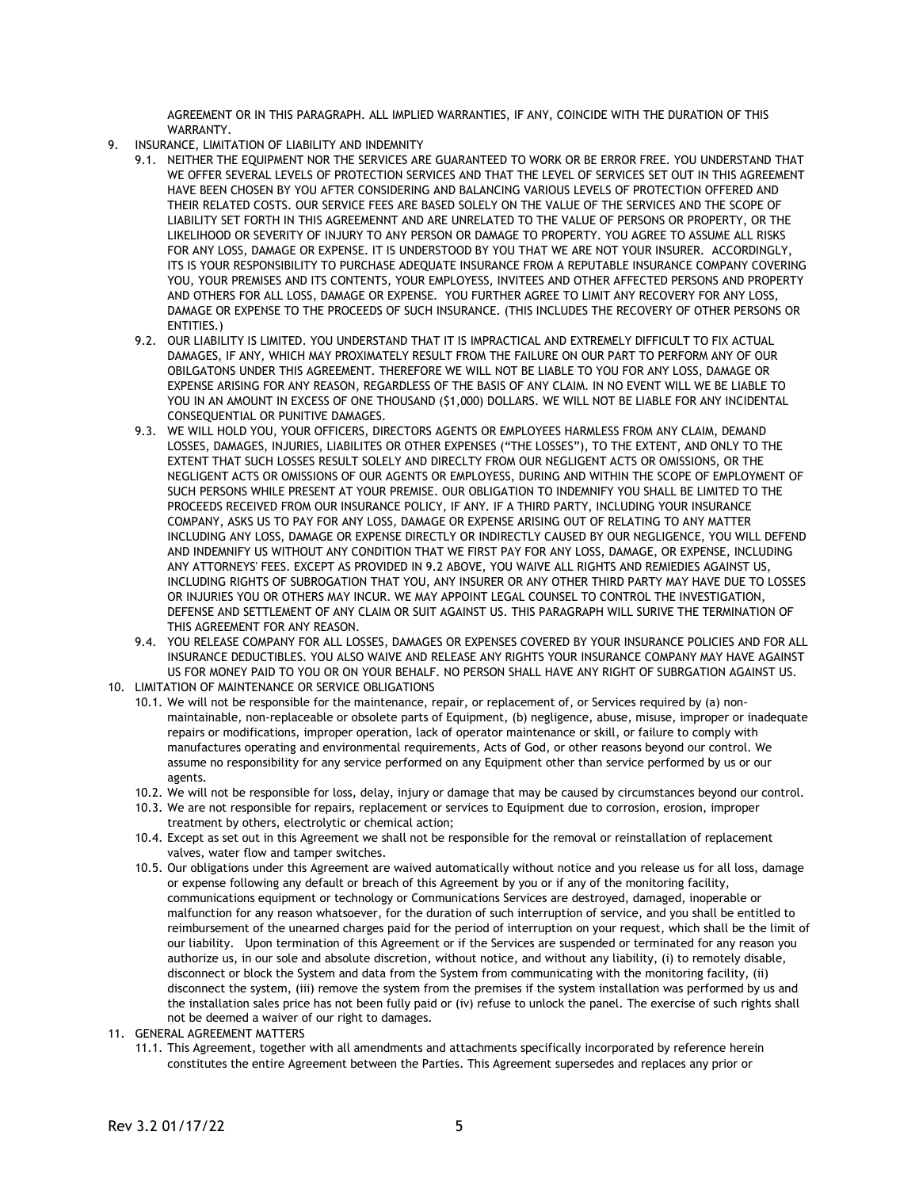AGREEMENT OR IN THIS PARAGRAPH. ALL IMPLIED WARRANTIES, IF ANY, COINCIDE WITH THE DURATION OF THIS WARRANTY.

- 9. INSURANCE, LIMITATION OF LIABILITY AND INDEMNITY
	- 9.1. NEITHER THE EQUIPMENT NOR THE SERVICES ARE GUARANTEED TO WORK OR BE ERROR FREE. YOU UNDERSTAND THAT WE OFFER SEVERAL LEVELS OF PROTECTION SERVICES AND THAT THE LEVEL OF SERVICES SET OUT IN THIS AGREEMENT HAVE BEEN CHOSEN BY YOU AFTER CONSIDERING AND BALANCING VARIOUS LEVELS OF PROTECTION OFFERED AND THEIR RELATED COSTS. OUR SERVICE FEES ARE BASED SOLELY ON THE VALUE OF THE SERVICES AND THE SCOPE OF LIABILITY SET FORTH IN THIS AGREEMENNT AND ARE UNRELATED TO THE VALUE OF PERSONS OR PROPERTY, OR THE LIKELIHOOD OR SEVERITY OF INJURY TO ANY PERSON OR DAMAGE TO PROPERTY. YOU AGREE TO ASSUME ALL RISKS FOR ANY LOSS, DAMAGE OR EXPENSE. IT IS UNDERSTOOD BY YOU THAT WE ARE NOT YOUR INSURER. ACCORDINGLY, ITS IS YOUR RESPONSIBILITY TO PURCHASE ADEQUATE INSURANCE FROM A REPUTABLE INSURANCE COMPANY COVERING YOU, YOUR PREMISES AND ITS CONTENTS, YOUR EMPLOYESS, INVITEES AND OTHER AFFECTED PERSONS AND PROPERTY AND OTHERS FOR ALL LOSS, DAMAGE OR EXPENSE. YOU FURTHER AGREE TO LIMIT ANY RECOVERY FOR ANY LOSS, DAMAGE OR EXPENSE TO THE PROCEEDS OF SUCH INSURANCE. (THIS INCLUDES THE RECOVERY OF OTHER PERSONS OR ENTITIES.)
	- 9.2. OUR LIABILITY IS LIMITED. YOU UNDERSTAND THAT IT IS IMPRACTICAL AND EXTREMELY DIFFICULT TO FIX ACTUAL DAMAGES, IF ANY, WHICH MAY PROXIMATELY RESULT FROM THE FAILURE ON OUR PART TO PERFORM ANY OF OUR OBILGATONS UNDER THIS AGREEMENT. THEREFORE WE WILL NOT BE LIABLE TO YOU FOR ANY LOSS, DAMAGE OR EXPENSE ARISING FOR ANY REASON, REGARDLESS OF THE BASIS OF ANY CLAIM. IN NO EVENT WILL WE BE LIABLE TO YOU IN AN AMOUNT IN EXCESS OF ONE THOUSAND (\$1,000) DOLLARS. WE WILL NOT BE LIABLE FOR ANY INCIDENTAL CONSEQUENTIAL OR PUNITIVE DAMAGES.
	- 9.3. WE WILL HOLD YOU, YOUR OFFICERS, DIRECTORS AGENTS OR EMPLOYEES HARMLESS FROM ANY CLAIM, DEMAND LOSSES, DAMAGES, INJURIES, LIABILITES OR OTHER EXPENSES ("THE LOSSES"), TO THE EXTENT, AND ONLY TO THE EXTENT THAT SUCH LOSSES RESULT SOLELY AND DIRECLTY FROM OUR NEGLIGENT ACTS OR OMISSIONS, OR THE NEGLIGENT ACTS OR OMISSIONS OF OUR AGENTS OR EMPLOYESS, DURING AND WITHIN THE SCOPE OF EMPLOYMENT OF SUCH PERSONS WHILE PRESENT AT YOUR PREMISE. OUR OBLIGATION TO INDEMNIFY YOU SHALL BE LIMITED TO THE PROCEEDS RECEIVED FROM OUR INSURANCE POLICY, IF ANY. IF A THIRD PARTY, INCLUDING YOUR INSURANCE COMPANY, ASKS US TO PAY FOR ANY LOSS, DAMAGE OR EXPENSE ARISING OUT OF RELATING TO ANY MATTER INCLUDING ANY LOSS, DAMAGE OR EXPENSE DIRECTLY OR INDIRECTLY CAUSED BY OUR NEGLIGENCE, YOU WILL DEFEND AND INDEMNIFY US WITHOUT ANY CONDITION THAT WE FIRST PAY FOR ANY LOSS, DAMAGE, OR EXPENSE, INCLUDING ANY ATTORNEYS' FEES. EXCEPT AS PROVIDED IN 9.2 ABOVE, YOU WAIVE ALL RIGHTS AND REMIEDIES AGAINST US, INCLUDING RIGHTS OF SUBROGATION THAT YOU, ANY INSURER OR ANY OTHER THIRD PARTY MAY HAVE DUE TO LOSSES OR INJURIES YOU OR OTHERS MAY INCUR. WE MAY APPOINT LEGAL COUNSEL TO CONTROL THE INVESTIGATION, DEFENSE AND SETTLEMENT OF ANY CLAIM OR SUIT AGAINST US. THIS PARAGRAPH WILL SURIVE THE TERMINATION OF THIS AGREEMENT FOR ANY REASON.
	- 9.4. YOU RELEASE COMPANY FOR ALL LOSSES, DAMAGES OR EXPENSES COVERED BY YOUR INSURANCE POLICIES AND FOR ALL INSURANCE DEDUCTIBLES. YOU ALSO WAIVE AND RELEASE ANY RIGHTS YOUR INSURANCE COMPANY MAY HAVE AGAINST US FOR MONEY PAID TO YOU OR ON YOUR BEHALF. NO PERSON SHALL HAVE ANY RIGHT OF SUBRGATION AGAINST US.
- 10. LIMITATION OF MAINTENANCE OR SERVICE OBLIGATIONS
	- 10.1. We will not be responsible for the maintenance, repair, or replacement of, or Services required by (a) nonmaintainable, non-replaceable or obsolete parts of Equipment, (b) negligence, abuse, misuse, improper or inadequate repairs or modifications, improper operation, lack of operator maintenance or skill, or failure to comply with manufactures operating and environmental requirements, Acts of God, or other reasons beyond our control. We assume no responsibility for any service performed on any Equipment other than service performed by us or our agents.
	- 10.2. We will not be responsible for loss, delay, injury or damage that may be caused by circumstances beyond our control.
	- 10.3. We are not responsible for repairs, replacement or services to Equipment due to corrosion, erosion, improper treatment by others, electrolytic or chemical action;
	- 10.4. Except as set out in this Agreement we shall not be responsible for the removal or reinstallation of replacement valves, water flow and tamper switches.
	- 10.5. Our obligations under this Agreement are waived automatically without notice and you release us for all loss, damage or expense following any default or breach of this Agreement by you or if any of the monitoring facility, communications equipment or technology or Communications Services are destroyed, damaged, inoperable or malfunction for any reason whatsoever, for the duration of such interruption of service, and you shall be entitled to reimbursement of the unearned charges paid for the period of interruption on your request, which shall be the limit of our liability. Upon termination of this Agreement or if the Services are suspended or terminated for any reason you authorize us, in our sole and absolute discretion, without notice, and without any liability, (i) to remotely disable, disconnect or block the System and data from the System from communicating with the monitoring facility, (ii) disconnect the system, (iii) remove the system from the premises if the system installation was performed by us and the installation sales price has not been fully paid or (iv) refuse to unlock the panel. The exercise of such rights shall not be deemed a waiver of our right to damages.
- 11. GENERAL AGREEMENT MATTERS
	- 11.1. This Agreement, together with all amendments and attachments specifically incorporated by reference herein constitutes the entire Agreement between the Parties. This Agreement supersedes and replaces any prior or